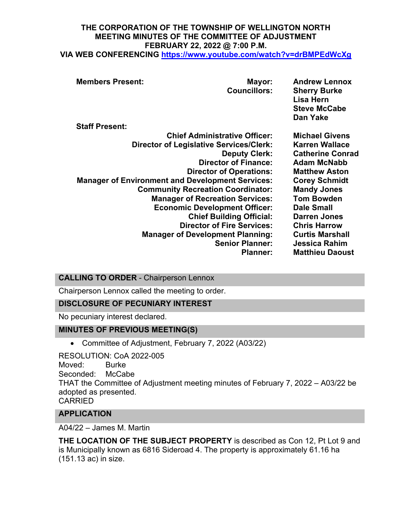# **THE CORPORATION OF THE TOWNSHIP OF WELLINGTON NORTH MEETING MINUTES OF THE COMMITTEE OF ADJUSTMENT FEBRUARY 22, 2022 @ 7:00 P.M.**

**VIA WEB CONFERENCING <https://www.youtube.com/watch?v=drBMPEdWcXg>**

| <b>Members Present:</b>                                 | Mayor:<br><b>Councillors:</b>            | <b>Andrew Lennox</b><br><b>Sherry Burke</b><br>Lisa Hern<br><b>Steve McCabe</b><br>Dan Yake |
|---------------------------------------------------------|------------------------------------------|---------------------------------------------------------------------------------------------|
| <b>Staff Present:</b>                                   |                                          |                                                                                             |
|                                                         | <b>Chief Administrative Officer:</b>     | <b>Michael Givens</b>                                                                       |
| <b>Director of Legislative Services/Clerk:</b>          |                                          | <b>Karren Wallace</b>                                                                       |
|                                                         | <b>Deputy Clerk:</b>                     | <b>Catherine Conrad</b>                                                                     |
|                                                         | <b>Director of Finance:</b>              | <b>Adam McNabb</b>                                                                          |
|                                                         | <b>Director of Operations:</b>           | <b>Matthew Aston</b>                                                                        |
| <b>Manager of Environment and Development Services:</b> |                                          | <b>Corey Schmidt</b>                                                                        |
|                                                         | <b>Community Recreation Coordinator:</b> | <b>Mandy Jones</b>                                                                          |
|                                                         | <b>Manager of Recreation Services:</b>   | <b>Tom Bowden</b>                                                                           |
|                                                         | <b>Economic Development Officer:</b>     | <b>Dale Small</b>                                                                           |
|                                                         | <b>Chief Building Official:</b>          | <b>Darren Jones</b>                                                                         |
|                                                         | <b>Director of Fire Services:</b>        | <b>Chris Harrow</b>                                                                         |
|                                                         | <b>Manager of Development Planning:</b>  | <b>Curtis Marshall</b>                                                                      |
|                                                         | <b>Senior Planner:</b>                   | <b>Jessica Rahim</b>                                                                        |
|                                                         | <b>Planner:</b>                          | <b>Matthieu Daoust</b>                                                                      |
|                                                         |                                          |                                                                                             |

# **CALLING TO ORDER** - Chairperson Lennox

Chairperson Lennox called the meeting to order.

#### **DISCLOSURE OF PECUNIARY INTEREST**

No pecuniary interest declared.

#### **MINUTES OF PREVIOUS MEETING(S)**

• Committee of Adjustment, February 7, 2022 (A03/22)

RESOLUTION: CoA 2022-005 Moved: Burke<br>Seconded: McCabe Seconded: THAT the Committee of Adjustment meeting minutes of February 7, 2022 – A03/22 be adopted as presented. CARRIED

#### **APPLICATION**

A04/22 – James M. Martin

**THE LOCATION OF THE SUBJECT PROPERTY** is described as Con 12, Pt Lot 9 and is Municipally known as 6816 Sideroad 4. The property is approximately 61.16 ha (151.13 ac) in size.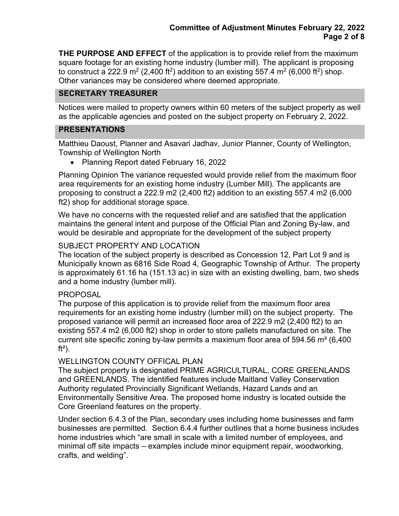**THE PURPOSE AND EFFECT** of the application is to provide relief from the maximum square footage for an existing home industry (lumber mill). The applicant is proposing to construct a 222.9 m<sup>2</sup> (2,400 ft<sup>2</sup>) addition to an existing 557.4 m<sup>2</sup> (6,000 ft<sup>2</sup>) shop. Other variances may be considered where deemed appropriate.

### **SECRETARY TREASURER**

Notices were mailed to property owners within 60 meters of the subject property as well as the applicable agencies and posted on the subject property on February 2, 2022.

### **PRESENTATIONS**

Matthieu Daoust, Planner and Asavari Jadhav, Junior Planner, County of Wellington, Township of Wellington North

• Planning Report dated February 16, 2022

Planning Opinion The variance requested would provide relief from the maximum floor area requirements for an existing home industry (Lumber Mill). The applicants are proposing to construct a 222.9 m2 (2,400 ft2) addition to an existing 557.4 m2 (6,000 ft2) shop for additional storage space.

We have no concerns with the requested relief and are satisfied that the application maintains the general intent and purpose of the Official Plan and Zoning By-law, and would be desirable and appropriate for the development of the subject property

#### SUBJECT PROPERTY AND LOCATION

The location of the subject property is described as Concession 12, Part Lot 9 and is Municipally known as 6816 Side Road 4, Geographic Township of Arthur. The property is approximately 61.16 ha (151.13 ac) in size with an existing dwelling, barn, two sheds and a home industry (lumber mill).

#### PROPOSAL

The purpose of this application is to provide relief from the maximum floor area requirements for an existing home industry (lumber mill) on the subject property. The proposed variance will permit an increased floor area of 222.9 m2 (2,400 ft2) to an existing 557.4 m2 (6,000 ft2) shop in order to store pallets manufactured on site. The current site specific zoning by-law permits a maximum floor area of 594.56 m² (6,400  $ft<sup>2</sup>$ ).

#### WELLINGTON COUNTY OFFICAL PLAN

The subject property is designated PRIME AGRICULTURAL, CORE GREENLANDS and GREENLANDS. The identified features include Maitland Valley Conservation Authority regulated Provincially Significant Wetlands, Hazard Lands and an Environmentally Sensitive Area. The proposed home industry is located outside the Core Greenland features on the property.

Under section 6.4.3 of the Plan, secondary uses including home businesses and farm businesses are permitted. Section 6.4.4 further outlines that a home business includes home industries which "are small in scale with a limited number of employees, and minimal off site impacts – examples include minor equipment repair, woodworking, crafts, and welding".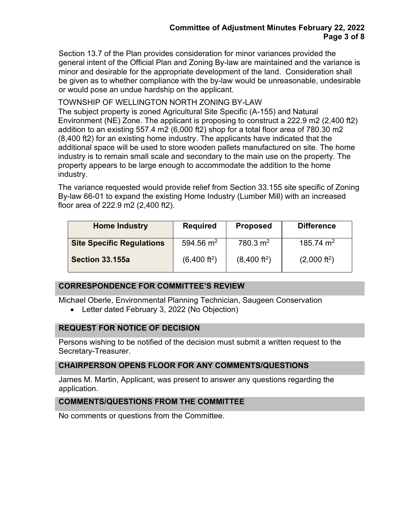Section 13.7 of the Plan provides consideration for minor variances provided the general intent of the Official Plan and Zoning By-law are maintained and the variance is minor and desirable for the appropriate development of the land. Consideration shall be given as to whether compliance with the by-law would be unreasonable, undesirable or would pose an undue hardship on the applicant.

# TOWNSHIP OF WELLINGTON NORTH ZONING BY-LAW

The subject property is zoned Agricultural Site Specific (A-155) and Natural Environment (NE) Zone. The applicant is proposing to construct a 222.9 m2 (2,400 ft2) addition to an existing 557.4 m2 (6,000 ft2) shop for a total floor area of 780.30 m2 (8,400 ft2) for an existing home industry. The applicants have indicated that the additional space will be used to store wooden pallets manufactured on site. The home industry is to remain small scale and secondary to the main use on the property. The property appears to be large enough to accommodate the addition to the home industry.

The variance requested would provide relief from Section 33.155 site specific of Zoning By-law 66-01 to expand the existing Home Industry (Lumber Mill) with an increased floor area of 222.9 m2 (2,400 ft2).

| <b>Home Industry</b>             | <b>Required</b>          | <b>Proposed</b>          | <b>Difference</b>      |
|----------------------------------|--------------------------|--------------------------|------------------------|
| <b>Site Specific Regulations</b> | 594.56 $m2$              | $780.3 \text{ m}^2$      | 185.74 m <sup>2</sup>  |
| Section 33.155a                  | (6,400 ft <sup>2</sup> ) | (8,400 ft <sup>2</sup> ) | $(2,000 \text{ ft}^2)$ |

#### **CORRESPONDENCE FOR COMMITTEE'S REVIEW**

Michael Oberle, Environmental Planning Technician, Saugeen Conservation

• Letter dated February 3, 2022 (No Objection)

#### **REQUEST FOR NOTICE OF DECISION**

Persons wishing to be notified of the decision must submit a written request to the Secretary-Treasurer.

# **CHAIRPERSON OPENS FLOOR FOR ANY COMMENTS/QUESTIONS**

James M. Martin, Applicant, was present to answer any questions regarding the application.

# **COMMENTS/QUESTIONS FROM THE COMMITTEE**

No comments or questions from the Committee.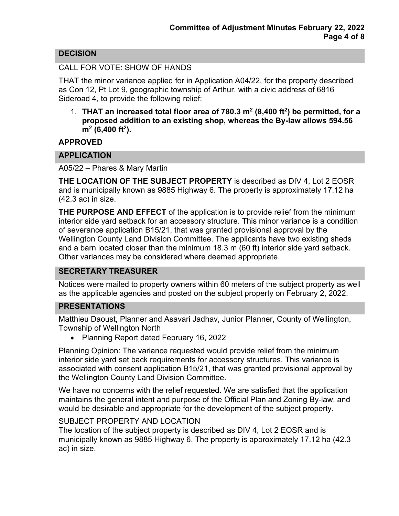# **DECISION**

#### CALL FOR VOTE: SHOW OF HANDS

THAT the minor variance applied for in Application A04/22, for the property described as Con 12, Pt Lot 9, geographic township of Arthur, with a civic address of 6816 Sideroad 4, to provide the following relief;

1. **THAT an increased total floor area of 780.3 m2 (8,400 ft2) be permitted, for a proposed addition to an existing shop, whereas the By-law allows 594.56 m2 (6,400 ft2).**

**APPROVED**

### **APPLICATION**

A05/22 – Phares & Mary Martin

**THE LOCATION OF THE SUBJECT PROPERTY** is described as DIV 4, Lot 2 EOSR and is municipally known as 9885 Highway 6. The property is approximately 17.12 ha (42.3 ac) in size.

**THE PURPOSE AND EFFECT** of the application is to provide relief from the minimum interior side yard setback for an accessory structure. This minor variance is a condition of severance application B15/21, that was granted provisional approval by the Wellington County Land Division Committee. The applicants have two existing sheds and a barn located closer than the minimum 18.3 m (60 ft) interior side yard setback. Other variances may be considered where deemed appropriate.

#### **SECRETARY TREASURER**

Notices were mailed to property owners within 60 meters of the subject property as well as the applicable agencies and posted on the subject property on February 2, 2022.

#### **PRESENTATIONS**

Matthieu Daoust, Planner and Asavari Jadhav, Junior Planner, County of Wellington, Township of Wellington North

• Planning Report dated February 16, 2022

Planning Opinion: The variance requested would provide relief from the minimum interior side yard set back requirements for accessory structures. This variance is associated with consent application B15/21, that was granted provisional approval by the Wellington County Land Division Committee.

We have no concerns with the relief requested. We are satisfied that the application maintains the general intent and purpose of the Official Plan and Zoning By-law, and would be desirable and appropriate for the development of the subject property.

#### SUBJECT PROPERTY AND LOCATION

The location of the subject property is described as DIV 4, Lot 2 EOSR and is municipally known as 9885 Highway 6. The property is approximately 17.12 ha (42.3 ac) in size.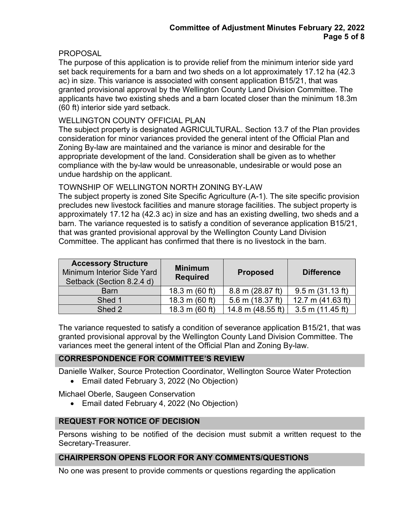# **PROPOSAL**

The purpose of this application is to provide relief from the minimum interior side yard set back requirements for a barn and two sheds on a lot approximately 17.12 ha (42.3 ac) in size. This variance is associated with consent application B15/21, that was granted provisional approval by the Wellington County Land Division Committee. The applicants have two existing sheds and a barn located closer than the minimum 18.3m (60 ft) interior side yard setback.

### WELLINGTON COUNTY OFFICIAL PLAN

The subject property is designated AGRICULTURAL. Section 13.7 of the Plan provides consideration for minor variances provided the general intent of the Official Plan and Zoning By-law are maintained and the variance is minor and desirable for the appropriate development of the land. Consideration shall be given as to whether compliance with the by-law would be unreasonable, undesirable or would pose an undue hardship on the applicant.

### TOWNSHIP OF WELLINGTON NORTH ZONING BY-LAW

The subject property is zoned Site Specific Agriculture (A-1). The site specific provision precludes new livestock facilities and manure storage facilities. The subject property is approximately 17.12 ha (42.3 ac) in size and has an existing dwelling, two sheds and a barn. The variance requested is to satisfy a condition of severance application B15/21, that was granted provisional approval by the Wellington County Land Division Committee. The applicant has confirmed that there is no livestock in the barn.

| <b>Accessory Structure</b><br>Minimum Interior Side Yard<br>Setback (Section 8.2.4 d) | <b>Minimum</b><br><b>Required</b> | <b>Proposed</b>            | <b>Difference</b>    |
|---------------------------------------------------------------------------------------|-----------------------------------|----------------------------|----------------------|
| <b>Barn</b>                                                                           | 18.3 m $(60 ft)$                  | $8.8 \text{ m}$ (28.87 ft) | $9.5$ m $(31.13$ ft) |
| Shed 1                                                                                | 18.3 m $(60 ft)$                  | 5.6 m (18.37 ft)           | 12.7 m $(41.63$ ft)  |
| Shed 2                                                                                | 18.3 m $(60 ft)$                  | 14.8 m (48.55 ft)          | $3.5$ m (11.45 ft)   |

The variance requested to satisfy a condition of severance application B15/21, that was granted provisional approval by the Wellington County Land Division Committee. The variances meet the general intent of the Official Plan and Zoning By-law.

#### **CORRESPONDENCE FOR COMMITTEE'S REVIEW**

Danielle Walker, Source Protection Coordinator, Wellington Source Water Protection

• Email dated February 3, 2022 (No Objection)

Michael Oberle, Saugeen Conservation

• Email dated February 4, 2022 (No Objection)

#### **REQUEST FOR NOTICE OF DECISION**

Persons wishing to be notified of the decision must submit a written request to the Secretary-Treasurer.

#### **CHAIRPERSON OPENS FLOOR FOR ANY COMMENTS/QUESTIONS**

No one was present to provide comments or questions regarding the application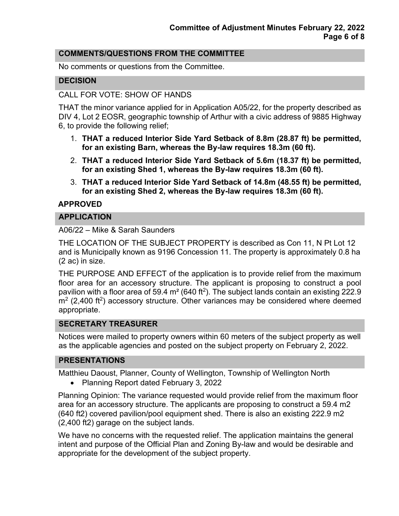## **COMMENTS/QUESTIONS FROM THE COMMITTEE**

No comments or questions from the Committee.

### **DECISION**

#### CALL FOR VOTE: SHOW OF HANDS

THAT the minor variance applied for in Application A05/22, for the property described as DIV 4, Lot 2 EOSR, geographic township of Arthur with a civic address of 9885 Highway 6, to provide the following relief;

- 1. **THAT a reduced Interior Side Yard Setback of 8.8m (28.87 ft) be permitted, for an existing Barn, whereas the By-law requires 18.3m (60 ft).**
- 2. **THAT a reduced Interior Side Yard Setback of 5.6m (18.37 ft) be permitted, for an existing Shed 1, whereas the By-law requires 18.3m (60 ft).**
- 3. **THAT a reduced Interior Side Yard Setback of 14.8m (48.55 ft) be permitted, for an existing Shed 2, whereas the By-law requires 18.3m (60 ft).**

#### **APPROVED**

#### **APPLICATION**

#### A06/22 – Mike & Sarah Saunders

THE LOCATION OF THE SUBJECT PROPERTY is described as Con 11, N Pt Lot 12 and is Municipally known as 9196 Concession 11. The property is approximately 0.8 ha (2 ac) in size.

THE PURPOSE AND EFFECT of the application is to provide relief from the maximum floor area for an accessory structure. The applicant is proposing to construct a pool pavilion with a floor area of 59.4  $m<sup>2</sup>$  (640 ft<sup>2</sup>). The subject lands contain an existing 222.9  $m<sup>2</sup>$  (2,400 ft<sup>2</sup>) accessory structure. Other variances may be considered where deemed appropriate.

#### **SECRETARY TREASURER**

Notices were mailed to property owners within 60 meters of the subject property as well as the applicable agencies and posted on the subject property on February 2, 2022.

#### **PRESENTATIONS**

Matthieu Daoust, Planner, County of Wellington, Township of Wellington North

• Planning Report dated February 3, 2022

Planning Opinion: The variance requested would provide relief from the maximum floor area for an accessory structure. The applicants are proposing to construct a 59.4 m2 (640 ft2) covered pavilion/pool equipment shed. There is also an existing 222.9 m2 (2,400 ft2) garage on the subject lands.

We have no concerns with the requested relief. The application maintains the general intent and purpose of the Official Plan and Zoning By-law and would be desirable and appropriate for the development of the subject property.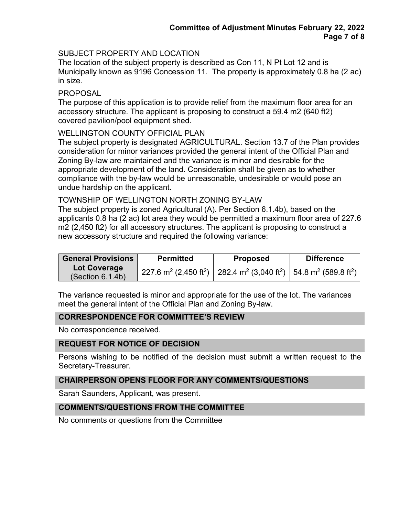# SUBJECT PROPERTY AND LOCATION

The location of the subject property is described as Con 11, N Pt Lot 12 and is Municipally known as 9196 Concession 11. The property is approximately 0.8 ha (2 ac) in size.

#### PROPOSAL

The purpose of this application is to provide relief from the maximum floor area for an accessory structure. The applicant is proposing to construct a 59.4 m2 (640 ft2) covered pavilion/pool equipment shed.

#### WELLINGTON COUNTY OFFICIAL PLAN

The subject property is designated AGRICULTURAL. Section 13.7 of the Plan provides consideration for minor variances provided the general intent of the Official Plan and Zoning By-law are maintained and the variance is minor and desirable for the appropriate development of the land. Consideration shall be given as to whether compliance with the by-law would be unreasonable, undesirable or would pose an undue hardship on the applicant.

#### TOWNSHIP OF WELLINGTON NORTH ZONING BY-LAW

The subject property is zoned Agricultural (A). Per Section 6.1.4b), based on the applicants 0.8 ha (2 ac) lot area they would be permitted a maximum floor area of 227.6 m2 (2,450 ft2) for all accessory structures. The applicant is proposing to construct a new accessory structure and required the following variance:

| <b>General Provisions</b> | <b>Permitted</b>                                                                                                                             | <b>Proposed</b> | <b>Difference</b> |
|---------------------------|----------------------------------------------------------------------------------------------------------------------------------------------|-----------------|-------------------|
| Lot Coverage              | 227.6 m <sup>2</sup> (2,450 ft <sup>2</sup> )   282.4 m <sup>2</sup> (3,040 ft <sup>2</sup> )   54.8 m <sup>2</sup> (589.8 ft <sup>2</sup> ) |                 |                   |
| (Section 6.1.4b)          |                                                                                                                                              |                 |                   |

The variance requested is minor and appropriate for the use of the lot. The variances meet the general intent of the Official Plan and Zoning By-law.

# **CORRESPONDENCE FOR COMMITTEE'S REVIEW**

No correspondence received.

#### **REQUEST FOR NOTICE OF DECISION**

Persons wishing to be notified of the decision must submit a written request to the Secretary-Treasurer.

### **CHAIRPERSON OPENS FLOOR FOR ANY COMMENTS/QUESTIONS**

Sarah Saunders, Applicant, was present.

#### **COMMENTS/QUESTIONS FROM THE COMMITTEE**

No comments or questions from the Committee